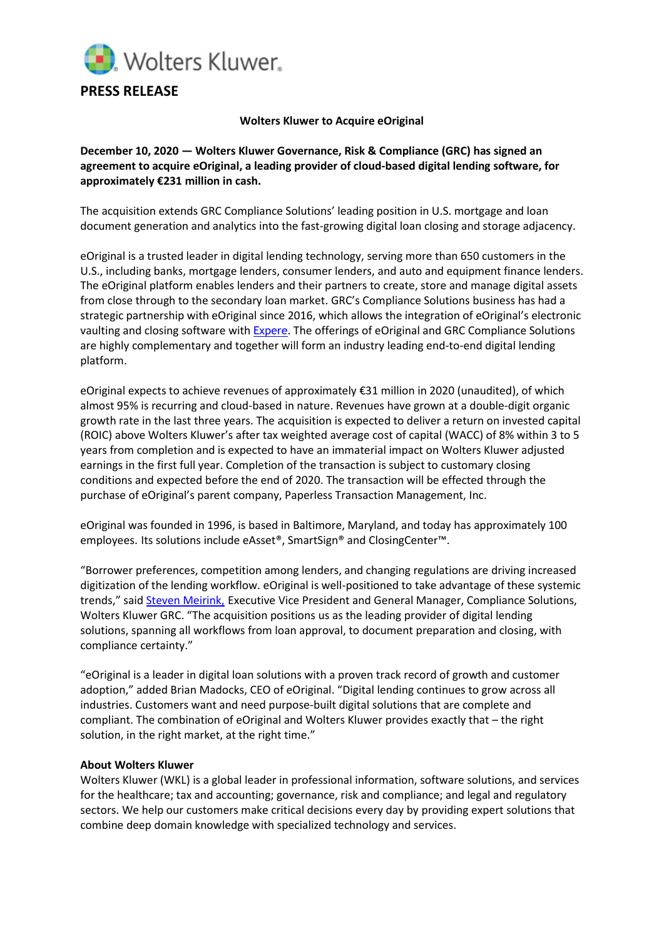

## **Wolters Kluwer to Acquire eOriginal**

**December 10, 2020 — Wolters Kluwer Governance, Risk & Compliance (GRC) has signed an agreement to acquire eOriginal, a leading provider of cloud-based digital lending software, for approximately €231 million in cash.** 

The acquisition extends GRC Compliance Solutions' leading position in U.S. mortgage and loan document generation and analytics into the fast-growing digital loan closing and storage adjacency.

eOriginal is a trusted leader in digital lending technology, serving more than 650 customers in the U.S., including banks, mortgage lenders, consumer lenders, and auto and equipment finance lenders. The eOriginal platform enables lenders and their partners to create, store and manage digital assets from close through to the secondary loan market. GRC's Compliance Solutions business has had a strategic partnership with eOriginal since 2016, which allows the integration of eOriginal's electronic vaulting and closing software with [Expere](https://www.wolterskluwer.com/en/solutions/expere). The offerings of eOriginal and GRC Compliance Solutions are highly complementary and together will form an industry leading end-to-end digital lending platform.

eOriginal expects to achieve revenues of approximately €31 million in 2020 (unaudited), of which almost 95% is recurring and cloud-based in nature. Revenues have grown at a double-digit organic growth rate in the last three years. The acquisition is expected to deliver a return on invested capital (ROIC) above Wolters Kluwer's after tax weighted average cost of capital (WACC) of 8% within 3 to 5 years from completion and is expected to have an immaterial impact on Wolters Kluwer adjusted earnings in the first full year. Completion of the transaction is subject to customary closing conditions and expected before the end of 2020. The transaction will be effected through the purchase of eOriginal's parent company, Paperless Transaction Management, Inc.

eOriginal was founded in 1996, is based in Baltimore, Maryland, and today has approximately 100 employees. Its solutions include eAsset®, SmartSign® and ClosingCenter™.

"Borrower preferences, competition among lenders, and changing regulations are driving increased digitization of the lending workflow. eOriginal is well-positioned to take advantage of these systemic trends," said [Steven Meirink,](https://www.wolterskluwer.com/en/experts/steven-meirink?wkcid=20.12_AM_cs_EN_PR_SamirAgarwal) Executive Vice President and General Manager, Compliance Solutions, Wolters Kluwer GRC. "The acquisition positions us as the leading provider of digital lending solutions, spanning all workflows from loan approval, to document preparation and closing, with compliance certainty."

"eOriginal is a leader in digital loan solutions with a proven track record of growth and customer adoption," added Brian Madocks, CEO of eOriginal. "Digital lending continues to grow across all industries. Customers want and need purpose-built digital solutions that are complete and compliant. The combination of eOriginal and Wolters Kluwer provides exactly that – the right solution, in the right market, at the right time."

## **About Wolters Kluwer**

Wolters Kluwer (WKL) is a global leader in professional information, software solutions, and services for the healthcare; tax and accounting; governance, risk and compliance; and legal and regulatory sectors. We help our customers make critical decisions every day by providing expert solutions that combine deep domain knowledge with specialized technology and services.